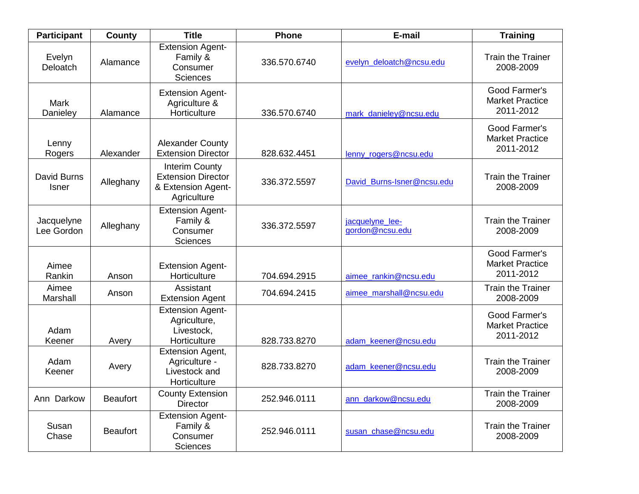| <b>Participant</b>          | County          | <b>Title</b>                                                                            | <b>Phone</b> | E-mail                             | <b>Training</b>                                      |
|-----------------------------|-----------------|-----------------------------------------------------------------------------------------|--------------|------------------------------------|------------------------------------------------------|
| Evelyn<br>Deloatch          | Alamance        | <b>Extension Agent-</b><br>Family &<br>Consumer<br><b>Sciences</b>                      | 336.570.6740 | evelyn deloatch@ncsu.edu           | <b>Train the Trainer</b><br>2008-2009                |
| Mark<br>Danieley            | Alamance        | <b>Extension Agent-</b><br>Agriculture &<br>Horticulture                                | 336.570.6740 | mark danieley@ncsu.edu             | Good Farmer's<br><b>Market Practice</b><br>2011-2012 |
| Lenny<br>Rogers             | Alexander       | <b>Alexander County</b><br><b>Extension Director</b>                                    | 828.632.4451 | lenny_rogers@ncsu.edu              | Good Farmer's<br><b>Market Practice</b><br>2011-2012 |
| David Burns<br><b>Isner</b> | Alleghany       | <b>Interim County</b><br><b>Extension Director</b><br>& Extension Agent-<br>Agriculture | 336.372.5597 | David Burns-Isner@ncsu.edu         | <b>Train the Trainer</b><br>2008-2009                |
| Jacquelyne<br>Lee Gordon    | Alleghany       | <b>Extension Agent-</b><br>Family &<br>Consumer<br><b>Sciences</b>                      | 336.372.5597 | jacquelyne lee-<br>gordon@ncsu.edu | <b>Train the Trainer</b><br>2008-2009                |
| Aimee<br>Rankin             | Anson           | <b>Extension Agent-</b><br>Horticulture                                                 | 704.694.2915 | aimee rankin@ncsu.edu              | Good Farmer's<br><b>Market Practice</b><br>2011-2012 |
| Aimee<br>Marshall           | Anson           | Assistant<br><b>Extension Agent</b>                                                     | 704.694.2415 | aimee_marshall@ncsu.edu            | <b>Train the Trainer</b><br>2008-2009                |
| Adam<br>Keener              | Avery           | <b>Extension Agent-</b><br>Agriculture,<br>Livestock,<br>Horticulture                   | 828.733.8270 | adam keener@ncsu.edu               | Good Farmer's<br><b>Market Practice</b><br>2011-2012 |
| Adam<br>Keener              | Avery           | <b>Extension Agent,</b><br>Agriculture -<br>Livestock and<br>Horticulture               | 828.733.8270 | adam_keener@ncsu.edu               | <b>Train the Trainer</b><br>2008-2009                |
| Ann Darkow                  | <b>Beaufort</b> | <b>County Extension</b><br><b>Director</b>                                              | 252.946.0111 | ann_darkow@ncsu.edu                | <b>Train the Trainer</b><br>2008-2009                |
| Susan<br>Chase              | <b>Beaufort</b> | <b>Extension Agent-</b><br>Family &<br>Consumer<br><b>Sciences</b>                      | 252.946.0111 | susan_chase@ncsu.edu               | <b>Train the Trainer</b><br>2008-2009                |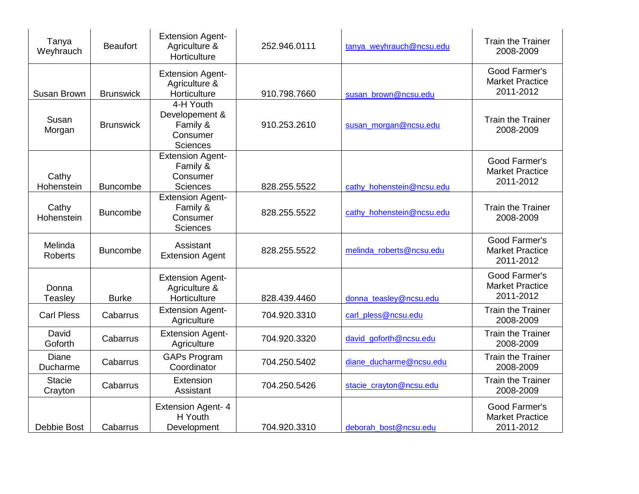| Tanya<br>Weyhrauch        | <b>Beaufort</b>  | <b>Extension Agent-</b><br>Agriculture &<br>Horticulture               | 252.946.0111 | tanya_weyhrauch@ncsu.edu  | <b>Train the Trainer</b><br>2008-2009                |
|---------------------------|------------------|------------------------------------------------------------------------|--------------|---------------------------|------------------------------------------------------|
| Susan Brown               | <b>Brunswick</b> | <b>Extension Agent-</b><br>Agriculture &<br>Horticulture               | 910.798.7660 | susan_brown@ncsu.edu      | Good Farmer's<br><b>Market Practice</b><br>2011-2012 |
| Susan<br>Morgan           | <b>Brunswick</b> | 4-H Youth<br>Developement &<br>Family &<br>Consumer<br><b>Sciences</b> | 910.253.2610 | susan morgan@ncsu.edu     | <b>Train the Trainer</b><br>2008-2009                |
| Cathy<br>Hohenstein       | <b>Buncombe</b>  | <b>Extension Agent-</b><br>Family &<br>Consumer<br>Sciences            | 828.255.5522 | cathy hohenstein@ncsu.edu | Good Farmer's<br><b>Market Practice</b><br>2011-2012 |
| Cathy<br>Hohenstein       | <b>Buncombe</b>  | <b>Extension Agent-</b><br>Family &<br>Consumer<br><b>Sciences</b>     | 828.255.5522 | cathy_hohenstein@ncsu.edu | <b>Train the Trainer</b><br>2008-2009                |
| Melinda<br><b>Roberts</b> | <b>Buncombe</b>  | Assistant<br><b>Extension Agent</b>                                    | 828.255.5522 | melinda roberts@ncsu.edu  | Good Farmer's<br><b>Market Practice</b><br>2011-2012 |
| Donna<br>Teasley          | <b>Burke</b>     | <b>Extension Agent-</b><br>Agriculture &<br>Horticulture               | 828.439.4460 | donna_teasley@ncsu.edu    | Good Farmer's<br><b>Market Practice</b><br>2011-2012 |
| <b>Carl Pless</b>         | Cabarrus         | <b>Extension Agent-</b><br>Agriculture                                 | 704.920.3310 | carl_pless@ncsu.edu       | <b>Train the Trainer</b><br>2008-2009                |
| David<br>Goforth          | Cabarrus         | <b>Extension Agent-</b><br>Agriculture                                 | 704.920.3320 | david goforth@ncsu.edu    | <b>Train the Trainer</b><br>2008-2009                |
| Diane<br>Ducharme         | Cabarrus         | <b>GAPs Program</b><br>Coordinator                                     | 704.250.5402 | diane_ducharme@ncsu.edu   | <b>Train the Trainer</b><br>2008-2009                |
| <b>Stacie</b><br>Crayton  | Cabarrus         | Extension<br>Assistant                                                 | 704.250.5426 | stacie_crayton@ncsu.edu   | <b>Train the Trainer</b><br>2008-2009                |
| <b>Debbie Bost</b>        | Cabarrus         | <b>Extension Agent-4</b><br>H Youth<br>Development                     | 704.920.3310 | deborah bost@ncsu.edu     | Good Farmer's<br><b>Market Practice</b><br>2011-2012 |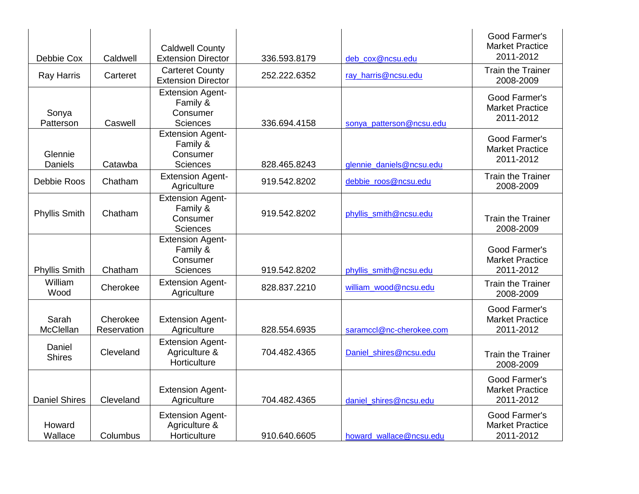| Debbie Cox                | Caldwell                | <b>Caldwell County</b><br><b>Extension Director</b>                | 336.593.8179 | deb cox@ncsu.edu         | Good Farmer's<br><b>Market Practice</b><br>2011-2012 |
|---------------------------|-------------------------|--------------------------------------------------------------------|--------------|--------------------------|------------------------------------------------------|
| <b>Ray Harris</b>         | Carteret                | <b>Carteret County</b><br><b>Extension Director</b>                | 252.222.6352 | ray harris@ncsu.edu      | <b>Train the Trainer</b><br>2008-2009                |
| Sonya<br>Patterson        | Caswell                 | <b>Extension Agent-</b><br>Family &<br>Consumer<br>Sciences        | 336.694.4158 | sonya patterson@ncsu.edu | Good Farmer's<br><b>Market Practice</b><br>2011-2012 |
| Glennie<br><b>Daniels</b> | Catawba                 | <b>Extension Agent-</b><br>Family &<br>Consumer<br>Sciences        | 828.465.8243 | glennie daniels@ncsu.edu | Good Farmer's<br><b>Market Practice</b><br>2011-2012 |
| Debbie Roos               | Chatham                 | <b>Extension Agent-</b><br>Agriculture                             | 919.542.8202 | debbie_roos@ncsu.edu     | <b>Train the Trainer</b><br>2008-2009                |
| <b>Phyllis Smith</b>      | Chatham                 | <b>Extension Agent-</b><br>Family &<br>Consumer<br><b>Sciences</b> | 919.542.8202 | phyllis_smith@ncsu.edu   | <b>Train the Trainer</b><br>2008-2009                |
| <b>Phyllis Smith</b>      | Chatham                 | <b>Extension Agent-</b><br>Family &<br>Consumer<br><b>Sciences</b> | 919.542.8202 | phyllis_smith@ncsu.edu   | Good Farmer's<br><b>Market Practice</b><br>2011-2012 |
| William<br>Wood           | Cherokee                | <b>Extension Agent-</b><br>Agriculture                             | 828.837.2210 | william wood@ncsu.edu    | <b>Train the Trainer</b><br>2008-2009                |
| Sarah<br>McClellan        | Cherokee<br>Reservation | <b>Extension Agent-</b><br>Agriculture                             | 828.554.6935 | saramccl@nc-cherokee.com | Good Farmer's<br><b>Market Practice</b><br>2011-2012 |
| Daniel<br><b>Shires</b>   | Cleveland               | <b>Extension Agent-</b><br>Agriculture &<br>Horticulture           | 704.482.4365 | Daniel_shires@ncsu.edu   | <b>Train the Trainer</b><br>2008-2009                |
| <b>Daniel Shires</b>      | Cleveland               | <b>Extension Agent-</b><br>Agriculture                             | 704.482.4365 | daniel_shires@ncsu.edu   | Good Farmer's<br><b>Market Practice</b><br>2011-2012 |
| Howard<br>Wallace         | Columbus                | <b>Extension Agent-</b><br>Agriculture &<br>Horticulture           | 910.640.6605 | howard wallace@ncsu.edu  | Good Farmer's<br><b>Market Practice</b><br>2011-2012 |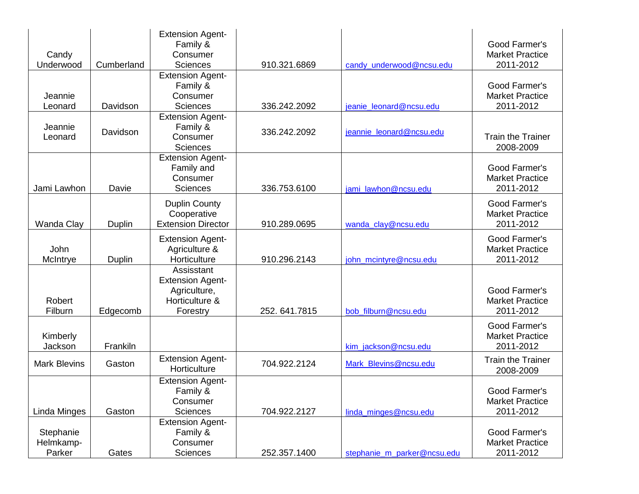|                     |            | <b>Extension Agent-</b><br>Family & |              |                             | Good Farmer's            |
|---------------------|------------|-------------------------------------|--------------|-----------------------------|--------------------------|
| Candy               |            | Consumer                            |              |                             | <b>Market Practice</b>   |
| Underwood           | Cumberland | <b>Sciences</b>                     | 910.321.6869 | candy_underwood@ncsu.edu    | 2011-2012                |
|                     |            | <b>Extension Agent-</b>             |              |                             |                          |
|                     |            | Family &                            |              |                             | Good Farmer's            |
| Jeannie             |            | Consumer                            |              |                             | <b>Market Practice</b>   |
| Leonard             | Davidson   | <b>Sciences</b>                     | 336.242.2092 | jeanie_leonard@ncsu.edu     | 2011-2012                |
|                     |            | <b>Extension Agent-</b>             |              |                             |                          |
| Jeannie             |            | Family &                            |              |                             |                          |
| Leonard             | Davidson   | Consumer                            | 336.242.2092 | jeannie_leonard@ncsu.edu    | <b>Train the Trainer</b> |
|                     |            | <b>Sciences</b>                     |              |                             | 2008-2009                |
|                     |            | <b>Extension Agent-</b>             |              |                             |                          |
|                     |            | Family and                          |              |                             | Good Farmer's            |
|                     |            | Consumer                            |              |                             | <b>Market Practice</b>   |
| Jami Lawhon         | Davie      | <b>Sciences</b>                     | 336.753.6100 | jami lawhon@ncsu.edu        | 2011-2012                |
|                     |            | <b>Duplin County</b>                |              |                             | Good Farmer's            |
|                     |            | Cooperative                         |              |                             | <b>Market Practice</b>   |
| Wanda Clay          | Duplin     | <b>Extension Director</b>           | 910.289.0695 | wanda_clay@ncsu.edu         | 2011-2012                |
|                     |            | <b>Extension Agent-</b>             |              |                             | Good Farmer's            |
| John                |            | Agriculture &                       |              |                             | <b>Market Practice</b>   |
| McIntrye            | Duplin     | Horticulture                        | 910.296.2143 | john_mcintyre@ncsu.edu      | 2011-2012                |
|                     |            | Assisstant                          |              |                             |                          |
|                     |            | <b>Extension Agent-</b>             |              |                             |                          |
|                     |            | Agriculture,                        |              |                             | Good Farmer's            |
| Robert              |            | Horticulture &                      |              |                             | <b>Market Practice</b>   |
| Filburn             | Edgecomb   | Forestry                            | 252.641.7815 | bob filburn@ncsu.edu        | 2011-2012                |
|                     |            |                                     |              |                             | Good Farmer's            |
| Kimberly            |            |                                     |              |                             | <b>Market Practice</b>   |
| Jackson             | Frankiln   |                                     |              | kim_jackson@ncsu.edu        | 2011-2012                |
|                     |            | <b>Extension Agent-</b>             |              |                             | <b>Train the Trainer</b> |
| <b>Mark Blevins</b> | Gaston     | Horticulture                        | 704.922.2124 | Mark Blevins@ncsu.edu       | 2008-2009                |
|                     |            | <b>Extension Agent-</b>             |              |                             |                          |
|                     |            | Family &                            |              |                             | Good Farmer's            |
|                     |            | Consumer                            |              |                             | <b>Market Practice</b>   |
| Linda Minges        | Gaston     | <b>Sciences</b>                     | 704.922.2127 | linda_minges@ncsu.edu       | 2011-2012                |
|                     |            | <b>Extension Agent-</b>             |              |                             |                          |
| Stephanie           |            | Family &                            |              |                             | Good Farmer's            |
| Helmkamp-           |            | Consumer                            |              |                             | <b>Market Practice</b>   |
| Parker              | Gates      | Sciences                            | 252.357.1400 | stephanie_m_parker@ncsu.edu | 2011-2012                |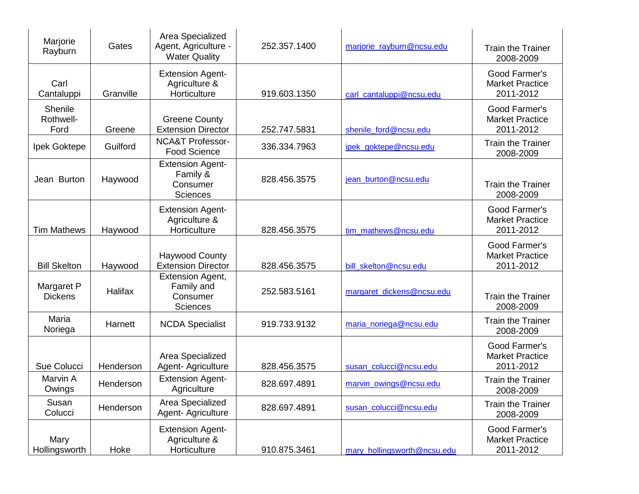| Marjorie<br>Rayburn          | Gates     | Area Specialized<br>Agent, Agriculture -<br><b>Water Quality</b>     | 252.357.1400 | marjorie_rayburn@ncsu.edu   | <b>Train the Trainer</b><br>2008-2009                |
|------------------------------|-----------|----------------------------------------------------------------------|--------------|-----------------------------|------------------------------------------------------|
| Carl<br>Cantaluppi           | Granville | <b>Extension Agent-</b><br>Agriculture &<br>Horticulture             | 919.603.1350 | carl_cantaluppi@ncsu.edu    | Good Farmer's<br><b>Market Practice</b><br>2011-2012 |
| Shenile<br>Rothwell-<br>Ford | Greene    | <b>Greene County</b><br><b>Extension Director</b>                    | 252.747.5831 | shenile_ford@ncsu.edu       | Good Farmer's<br><b>Market Practice</b><br>2011-2012 |
| Ipek Goktepe                 | Guilford  | <b>NCA&amp;T Professor-</b><br><b>Food Science</b>                   | 336.334.7963 | ipek goktepe@ncsu.edu       | <b>Train the Trainer</b><br>2008-2009                |
| Jean Burton                  | Haywood   | <b>Extension Agent-</b><br>Family &<br>Consumer<br><b>Sciences</b>   | 828.456.3575 | jean_burton@ncsu.edu        | <b>Train the Trainer</b><br>2008-2009                |
| <b>Tim Mathews</b>           | Haywood   | <b>Extension Agent-</b><br>Agriculture &<br>Horticulture             | 828.456.3575 | tim mathews@ncsu.edu        | Good Farmer's<br><b>Market Practice</b><br>2011-2012 |
| <b>Bill Skelton</b>          | Haywood   | <b>Haywood County</b><br><b>Extension Director</b>                   | 828.456.3575 | bill_skelton@ncsu.edu       | Good Farmer's<br><b>Market Practice</b><br>2011-2012 |
| Margaret P<br><b>Dickens</b> | Halifax   | <b>Extension Agent,</b><br>Family and<br>Consumer<br><b>Sciences</b> | 252.583.5161 | margaret_dickens@ncsu.edu   | <b>Train the Trainer</b><br>2008-2009                |
| Maria<br>Noriega             | Harnett   | <b>NCDA Specialist</b>                                               | 919.733.9132 | maria_noriega@ncsu.edu      | <b>Train the Trainer</b><br>2008-2009                |
| Sue Colucci                  | Henderson | Area Specialized<br>Agent- Agriculture                               | 828.456.3575 | susan_colucci@ncsu.edu      | Good Farmer's<br><b>Market Practice</b><br>2011-2012 |
| Marvin A<br>Owings           | Henderson | <b>Extension Agent-</b><br>Agriculture                               | 828.697.4891 | marvin_owings@ncsu.edu      | <b>Train the Trainer</b><br>2008-2009                |
| Susan<br>Colucci             | Henderson | Area Specialized<br>Agent-Agriculture                                | 828.697.4891 | susan_colucci@ncsu.edu      | <b>Train the Trainer</b><br>2008-2009                |
| Mary<br>Hollingsworth        | Hoke      | <b>Extension Agent-</b><br>Agriculture &<br>Horticulture             | 910.875.3461 | mary_hollingsworth@ncsu.edu | Good Farmer's<br><b>Market Practice</b><br>2011-2012 |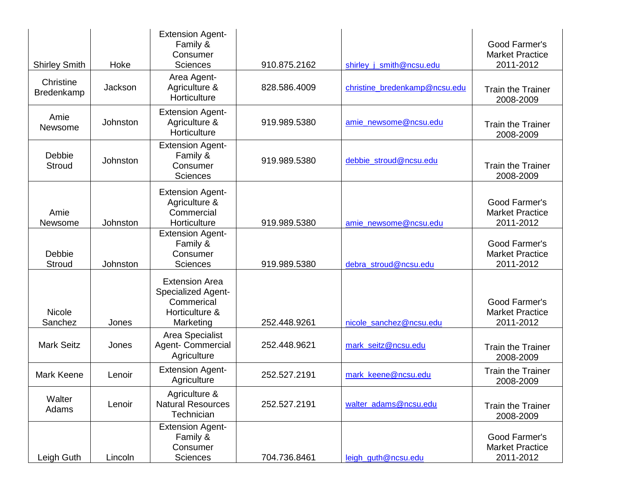| <b>Shirley Smith</b>     | Hoke     | <b>Extension Agent-</b><br>Family &<br>Consumer<br><b>Sciences</b>                              | 910.875.2162 | shirley_j_smith@ncsu.edu      | Good Farmer's<br><b>Market Practice</b><br>2011-2012 |
|--------------------------|----------|-------------------------------------------------------------------------------------------------|--------------|-------------------------------|------------------------------------------------------|
| Christine<br>Bredenkamp  | Jackson  | Area Agent-<br>Agriculture &<br>Horticulture                                                    | 828.586.4009 | christine bredenkamp@ncsu.edu | <b>Train the Trainer</b><br>2008-2009                |
| Amie<br>Newsome          | Johnston | <b>Extension Agent-</b><br>Agriculture &<br>Horticulture                                        | 919.989.5380 | amie newsome@ncsu.edu         | <b>Train the Trainer</b><br>2008-2009                |
| Debbie<br>Stroud         | Johnston | <b>Extension Agent-</b><br>Family &<br>Consumer<br><b>Sciences</b>                              | 919.989.5380 | debbie_stroud@ncsu.edu        | <b>Train the Trainer</b><br>2008-2009                |
| Amie<br>Newsome          | Johnston | <b>Extension Agent-</b><br>Agriculture &<br>Commercial<br>Horticulture                          | 919.989.5380 | amie_newsome@ncsu.edu         | Good Farmer's<br><b>Market Practice</b><br>2011-2012 |
| Debbie<br>Stroud         | Johnston | <b>Extension Agent-</b><br>Family &<br>Consumer<br>Sciences                                     | 919.989.5380 | debra_stroud@ncsu.edu         | Good Farmer's<br><b>Market Practice</b><br>2011-2012 |
| <b>Nicole</b><br>Sanchez | Jones    | <b>Extension Area</b><br><b>Specialized Agent-</b><br>Commerical<br>Horticulture &<br>Marketing | 252.448.9261 | nicole_sanchez@ncsu.edu       | Good Farmer's<br><b>Market Practice</b><br>2011-2012 |
| <b>Mark Seitz</b>        | Jones    | Area Specialist<br>Agent- Commercial<br>Agriculture                                             | 252.448.9621 | mark_seitz@ncsu.edu           | <b>Train the Trainer</b><br>2008-2009                |
| <b>Mark Keene</b>        | Lenoir   | <b>Extension Agent-</b><br>Agriculture                                                          | 252.527.2191 | mark keene@ncsu.edu           | <b>Train the Trainer</b><br>2008-2009                |
| Walter<br>Adams          | Lenoir   | Agriculture &<br><b>Natural Resources</b><br>Technician                                         | 252.527.2191 | walter_adams@ncsu.edu         | Train the Trainer<br>2008-2009                       |
| Leigh Guth               | Lincoln  | <b>Extension Agent-</b><br>Family &<br>Consumer<br>Sciences                                     | 704.736.8461 | leigh_guth@ncsu.edu           | Good Farmer's<br><b>Market Practice</b><br>2011-2012 |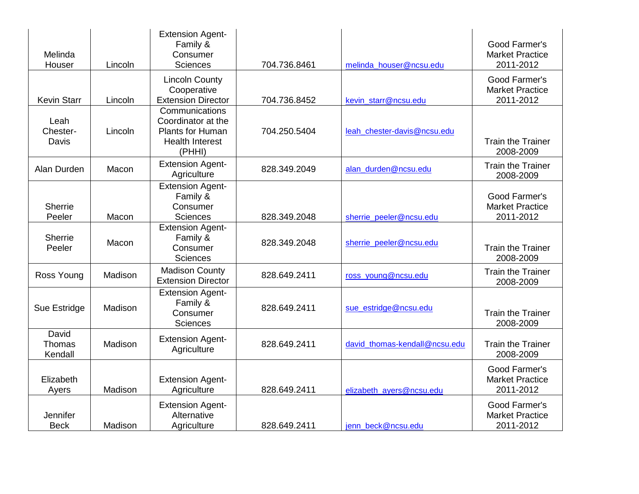| Melinda<br>Houser          | Lincoln | <b>Extension Agent-</b><br>Family &<br>Consumer<br><b>Sciences</b>                                  | 704.736.8461 | melinda_houser@ncsu.edu       | Good Farmer's<br><b>Market Practice</b><br>2011-2012 |
|----------------------------|---------|-----------------------------------------------------------------------------------------------------|--------------|-------------------------------|------------------------------------------------------|
| <b>Kevin Starr</b>         | Lincoln | <b>Lincoln County</b><br>Cooperative<br><b>Extension Director</b>                                   | 704.736.8452 | kevin_starr@ncsu.edu          | Good Farmer's<br><b>Market Practice</b><br>2011-2012 |
| Leah<br>Chester-<br>Davis  | Lincoln | Communications<br>Coordinator at the<br><b>Plants for Human</b><br><b>Health Interest</b><br>(PHHI) | 704.250.5404 | leah_chester-davis@ncsu.edu   | <b>Train the Trainer</b><br>2008-2009                |
| Alan Durden                | Macon   | <b>Extension Agent-</b><br>Agriculture                                                              | 828.349.2049 | alan_durden@ncsu.edu          | <b>Train the Trainer</b><br>2008-2009                |
| <b>Sherrie</b><br>Peeler   | Macon   | <b>Extension Agent-</b><br>Family &<br>Consumer<br>Sciences                                         | 828.349.2048 | sherrie_peeler@ncsu.edu       | Good Farmer's<br><b>Market Practice</b><br>2011-2012 |
| <b>Sherrie</b><br>Peeler   | Macon   | <b>Extension Agent-</b><br>Family &<br>Consumer<br><b>Sciences</b>                                  | 828.349.2048 | sherrie_peeler@ncsu.edu       | <b>Train the Trainer</b><br>2008-2009                |
| Ross Young                 | Madison | <b>Madison County</b><br><b>Extension Director</b>                                                  | 828.649.2411 | ross_young@ncsu.edu           | <b>Train the Trainer</b><br>2008-2009                |
| Sue Estridge               | Madison | <b>Extension Agent-</b><br>Family &<br>Consumer<br><b>Sciences</b>                                  | 828.649.2411 | sue_estridge@ncsu.edu         | <b>Train the Trainer</b><br>2008-2009                |
| David<br>Thomas<br>Kendall | Madison | <b>Extension Agent-</b><br>Agriculture                                                              | 828.649.2411 | david thomas-kendall@ncsu.edu | <b>Train the Trainer</b><br>2008-2009                |
| Elizabeth<br>Ayers         | Madison | <b>Extension Agent-</b><br>Agriculture                                                              | 828.649.2411 | elizabeth_ayers@ncsu.edu      | Good Farmer's<br><b>Market Practice</b><br>2011-2012 |
| Jennifer<br><b>Beck</b>    | Madison | <b>Extension Agent-</b><br>Alternative<br>Agriculture                                               | 828.649.2411 | jenn_beck@ncsu.edu            | Good Farmer's<br><b>Market Practice</b><br>2011-2012 |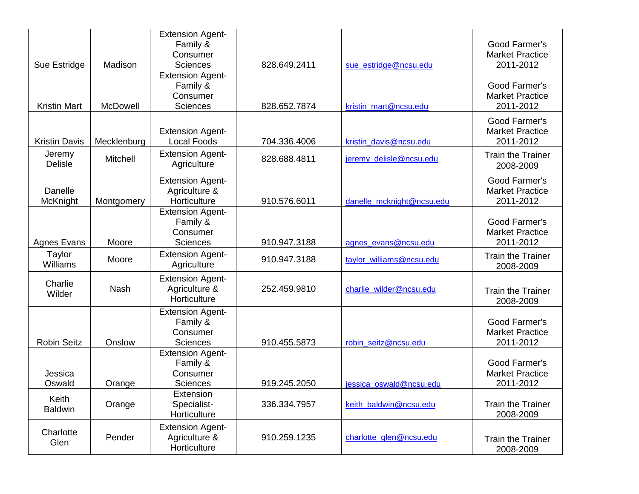|                          |             | <b>Extension Agent-</b><br>Family &                                |              |                           | Good Farmer's                                        |
|--------------------------|-------------|--------------------------------------------------------------------|--------------|---------------------------|------------------------------------------------------|
|                          |             | Consumer                                                           |              |                           | <b>Market Practice</b>                               |
| Sue Estridge             | Madison     | <b>Sciences</b>                                                    | 828.649.2411 | sue estridge@ncsu.edu     | 2011-2012                                            |
| <b>Kristin Mart</b>      | McDowell    | <b>Extension Agent-</b><br>Family &<br>Consumer<br><b>Sciences</b> | 828.652.7874 | kristin mart@ncsu.edu     | Good Farmer's<br><b>Market Practice</b><br>2011-2012 |
|                          |             |                                                                    |              |                           |                                                      |
| <b>Kristin Davis</b>     | Mecklenburg | <b>Extension Agent-</b><br><b>Local Foods</b>                      | 704.336.4006 | kristin davis@ncsu.edu    | Good Farmer's<br><b>Market Practice</b><br>2011-2012 |
| Jeremy<br><b>Delisle</b> | Mitchell    | <b>Extension Agent-</b><br>Agriculture                             | 828.688.4811 | jeremy_delisle@ncsu.edu   | <b>Train the Trainer</b><br>2008-2009                |
| Danelle<br>McKnight      | Montgomery  | <b>Extension Agent-</b><br>Agriculture &<br>Horticulture           | 910.576.6011 | danelle_mcknight@ncsu.edu | Good Farmer's<br><b>Market Practice</b><br>2011-2012 |
| <b>Agnes Evans</b>       | Moore       | <b>Extension Agent-</b><br>Family &<br>Consumer<br><b>Sciences</b> | 910.947.3188 | agnes_evans@ncsu.edu      | Good Farmer's<br><b>Market Practice</b><br>2011-2012 |
| Taylor<br>Williams       | Moore       | <b>Extension Agent-</b><br>Agriculture                             | 910.947.3188 | taylor_williams@ncsu.edu  | <b>Train the Trainer</b><br>2008-2009                |
| Charlie<br>Wilder        | <b>Nash</b> | <b>Extension Agent-</b><br>Agriculture &<br>Horticulture           | 252.459.9810 | charlie_wilder@ncsu.edu   | <b>Train the Trainer</b><br>2008-2009                |
| <b>Robin Seitz</b>       | Onslow      | <b>Extension Agent-</b><br>Family &<br>Consumer<br>Sciences        | 910.455.5873 | robin_seitz@ncsu.edu      | Good Farmer's<br><b>Market Practice</b><br>2011-2012 |
| Jessica                  |             | <b>Extension Agent-</b><br>Family &<br>Consumer                    |              |                           | Good Farmer's<br><b>Market Practice</b>              |
| Oswald                   | Orange      | <b>Sciences</b>                                                    | 919.245.2050 | jessica_oswald@ncsu.edu   | 2011-2012                                            |
| Keith<br><b>Baldwin</b>  | Orange      | Extension<br>Specialist-<br>Horticulture                           | 336.334.7957 | keith_baldwin@ncsu.edu    | <b>Train the Trainer</b><br>2008-2009                |
| Charlotte<br>Glen        | Pender      | <b>Extension Agent-</b><br>Agriculture &<br>Horticulture           | 910.259.1235 | charlotte glen@ncsu.edu   | <b>Train the Trainer</b><br>2008-2009                |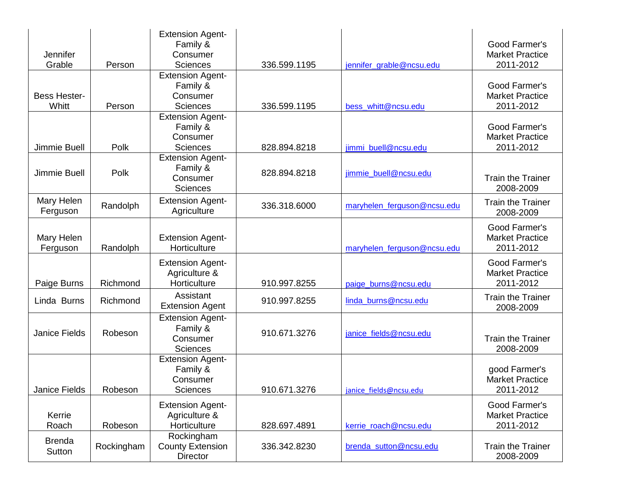| Jennifer<br>Grable           | Person     | <b>Extension Agent-</b><br>Family &<br>Consumer<br><b>Sciences</b> | 336.599.1195 | jennifer_grable@ncsu.edu    | Good Farmer's<br><b>Market Practice</b><br>2011-2012 |
|------------------------------|------------|--------------------------------------------------------------------|--------------|-----------------------------|------------------------------------------------------|
| <b>Bess Hester-</b><br>Whitt | Person     | <b>Extension Agent-</b><br>Family &<br>Consumer<br><b>Sciences</b> | 336.599.1195 | bess whitt@ncsu.edu         | Good Farmer's<br><b>Market Practice</b><br>2011-2012 |
| Jimmie Buell                 | Polk       | <b>Extension Agent-</b><br>Family &<br>Consumer<br><b>Sciences</b> | 828.894.8218 | jimmi buell@ncsu.edu        | Good Farmer's<br><b>Market Practice</b><br>2011-2012 |
| Jimmie Buell                 | Polk       | <b>Extension Agent-</b><br>Family &<br>Consumer<br><b>Sciences</b> | 828.894.8218 | jimmie buell@ncsu.edu       | <b>Train the Trainer</b><br>2008-2009                |
| Mary Helen<br>Ferguson       | Randolph   | <b>Extension Agent-</b><br>Agriculture                             | 336.318.6000 | maryhelen ferguson@ncsu.edu | <b>Train the Trainer</b><br>2008-2009                |
| Mary Helen<br>Ferguson       | Randolph   | <b>Extension Agent-</b><br>Horticulture                            |              | maryhelen ferguson@ncsu.edu | Good Farmer's<br><b>Market Practice</b><br>2011-2012 |
| Paige Burns                  | Richmond   | <b>Extension Agent-</b><br>Agriculture &<br>Horticulture           | 910.997.8255 | paige_burns@ncsu.edu        | Good Farmer's<br><b>Market Practice</b><br>2011-2012 |
| Linda Burns                  | Richmond   | Assistant<br><b>Extension Agent</b>                                | 910.997.8255 | linda_burns@ncsu.edu        | <b>Train the Trainer</b><br>2008-2009                |
| <b>Janice Fields</b>         | Robeson    | <b>Extension Agent-</b><br>Family &<br>Consumer<br><b>Sciences</b> | 910.671.3276 | janice_fields@ncsu.edu      | <b>Train the Trainer</b><br>2008-2009                |
| Janice Fields                | Robeson    | <b>Extension Agent-</b><br>Family &<br>Consumer<br>Sciences        | 910.671.3276 | janice fields@ncsu.edu      | good Farmer's<br><b>Market Practice</b><br>2011-2012 |
| Kerrie<br>Roach              | Robeson    | <b>Extension Agent-</b><br>Agriculture &<br>Horticulture           | 828.697.4891 | kerrie_roach@ncsu.edu       | Good Farmer's<br><b>Market Practice</b><br>2011-2012 |
| <b>Brenda</b><br>Sutton      | Rockingham | Rockingham<br><b>County Extension</b><br>Director                  | 336.342.8230 | brenda_sutton@ncsu.edu      | <b>Train the Trainer</b><br>2008-2009                |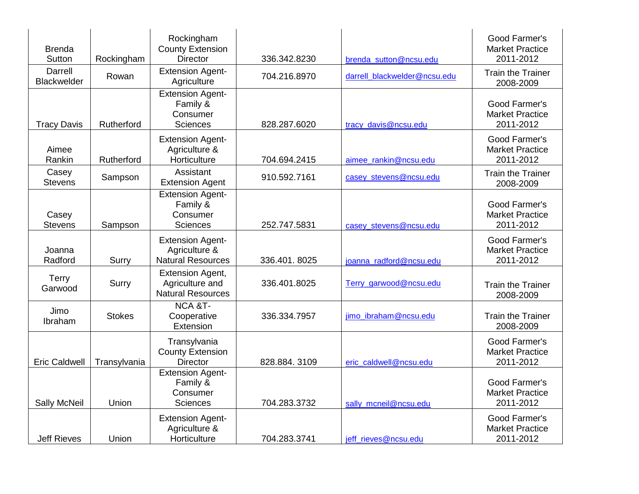| <b>Brenda</b><br>Sutton | Rockingham    | Rockingham<br><b>County Extension</b><br><b>Director</b>               | 336.342.8230 | brenda_sutton@ncsu.edu       | Good Farmer's<br><b>Market Practice</b><br>2011-2012 |
|-------------------------|---------------|------------------------------------------------------------------------|--------------|------------------------------|------------------------------------------------------|
| Darrell<br>Blackwelder  | Rowan         | <b>Extension Agent-</b><br>Agriculture                                 | 704.216.8970 | darrell blackwelder@ncsu.edu | <b>Train the Trainer</b><br>2008-2009                |
| <b>Tracy Davis</b>      | Rutherford    | <b>Extension Agent-</b><br>Family &<br>Consumer<br><b>Sciences</b>     | 828.287.6020 | tracy_davis@ncsu.edu         | Good Farmer's<br><b>Market Practice</b><br>2011-2012 |
| Aimee<br>Rankin         | Rutherford    | <b>Extension Agent-</b><br>Agriculture &<br>Horticulture               | 704.694.2415 | aimee_rankin@ncsu.edu        | Good Farmer's<br><b>Market Practice</b><br>2011-2012 |
| Casey<br><b>Stevens</b> | Sampson       | Assistant<br><b>Extension Agent</b>                                    | 910.592.7161 | casey_stevens@ncsu.edu       | <b>Train the Trainer</b><br>2008-2009                |
| Casey<br><b>Stevens</b> | Sampson       | <b>Extension Agent-</b><br>Family &<br>Consumer<br><b>Sciences</b>     | 252.747.5831 | casey_stevens@ncsu.edu       | Good Farmer's<br><b>Market Practice</b><br>2011-2012 |
| Joanna<br>Radford       | Surry         | <b>Extension Agent-</b><br>Agriculture &<br><b>Natural Resources</b>   | 336.401.8025 | joanna radford@ncsu.edu      | Good Farmer's<br><b>Market Practice</b><br>2011-2012 |
| <b>Terry</b><br>Garwood | Surry         | <b>Extension Agent,</b><br>Agriculture and<br><b>Natural Resources</b> | 336.401.8025 | Terry garwood@ncsu.edu       | <b>Train the Trainer</b><br>2008-2009                |
| Jimo<br>Ibraham         | <b>Stokes</b> | NCA &T-<br>Cooperative<br>Extension                                    | 336.334.7957 | jimo ibraham@ncsu.edu        | <b>Train the Trainer</b><br>2008-2009                |
| <b>Eric Caldwell</b>    | Transylvania  | Transylvania<br><b>County Extension</b><br><b>Director</b>             | 828.884.3109 | eric caldwell@ncsu.edu       | Good Farmer's<br><b>Market Practice</b><br>2011-2012 |
| <b>Sally McNeil</b>     | Union         | <b>Extension Agent-</b><br>Family &<br>Consumer<br><b>Sciences</b>     | 704.283.3732 | sally mcneil@ncsu.edu        | Good Farmer's<br><b>Market Practice</b><br>2011-2012 |
| <b>Jeff Rieves</b>      | Union         | <b>Extension Agent-</b><br>Agriculture &<br>Horticulture               | 704.283.3741 | jeff_rieves@ncsu.edu         | Good Farmer's<br><b>Market Practice</b><br>2011-2012 |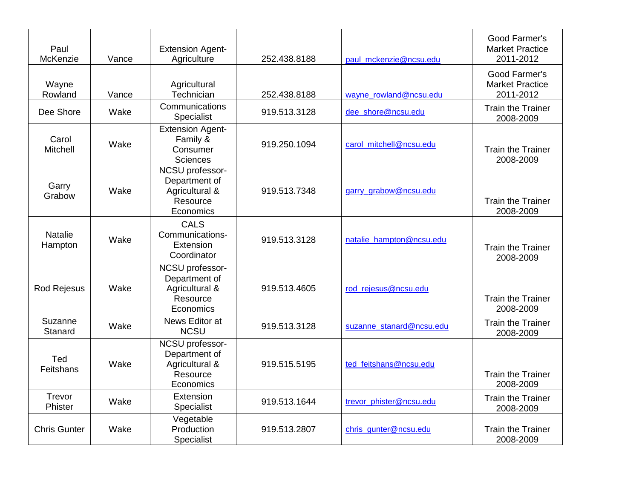| Paul<br>McKenzie          | Vance | <b>Extension Agent-</b><br>Agriculture                                      | 252.438.8188 | paul mckenzie@ncsu.edu   | Good Farmer's<br><b>Market Practice</b><br>2011-2012 |
|---------------------------|-------|-----------------------------------------------------------------------------|--------------|--------------------------|------------------------------------------------------|
| Wayne<br>Rowland          | Vance | Agricultural<br>Technician                                                  | 252.438.8188 | wayne_rowland@ncsu.edu   | Good Farmer's<br><b>Market Practice</b><br>2011-2012 |
| Dee Shore                 | Wake  | Communications<br>Specialist                                                | 919.513.3128 | dee_shore@ncsu.edu       | <b>Train the Trainer</b><br>2008-2009                |
| Carol<br>Mitchell         | Wake  | <b>Extension Agent-</b><br>Family &<br>Consumer<br><b>Sciences</b>          | 919.250.1094 | carol_mitchell@ncsu.edu  | <b>Train the Trainer</b><br>2008-2009                |
| Garry<br>Grabow           | Wake  | NCSU professor-<br>Department of<br>Agricultural &<br>Resource<br>Economics | 919.513.7348 | garry_grabow@ncsu.edu    | <b>Train the Trainer</b><br>2008-2009                |
| <b>Natalie</b><br>Hampton | Wake  | <b>CALS</b><br>Communications-<br>Extension<br>Coordinator                  | 919.513.3128 | natalie_hampton@ncsu.edu | <b>Train the Trainer</b><br>2008-2009                |
| Rod Rejesus               | Wake  | NCSU professor-<br>Department of<br>Agricultural &<br>Resource<br>Economics | 919.513.4605 | rod_rejesus@ncsu.edu     | <b>Train the Trainer</b><br>2008-2009                |
| Suzanne<br>Stanard        | Wake  | News Editor at<br><b>NCSU</b>                                               | 919.513.3128 | suzanne stanard@ncsu.edu | <b>Train the Trainer</b><br>2008-2009                |
| Ted<br>Feitshans          | Wake  | NCSU professor-<br>Department of<br>Agricultural &<br>Resource<br>Economics | 919.515.5195 | ted feitshans@ncsu.edu   | <b>Train the Trainer</b><br>2008-2009                |
| Trevor<br>Phister         | Wake  | Extension<br>Specialist                                                     | 919.513.1644 | trevor phister@ncsu.edu  | <b>Train the Trainer</b><br>2008-2009                |
| <b>Chris Gunter</b>       | Wake  | Vegetable<br>Production<br>Specialist                                       | 919.513.2807 | chris gunter@ncsu.edu    | <b>Train the Trainer</b><br>2008-2009                |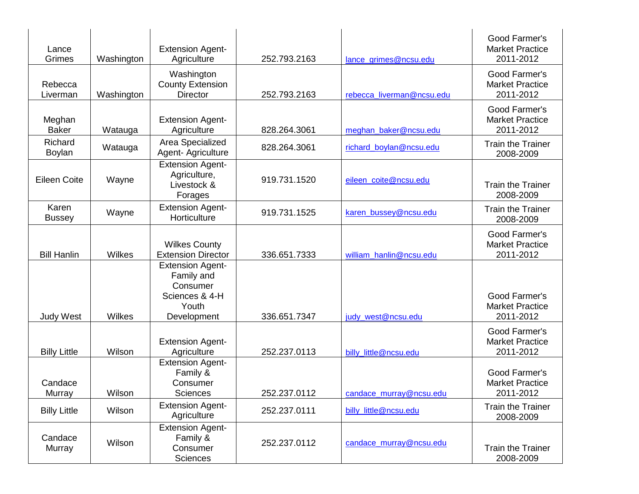| Lance<br>Grimes          | Washington | <b>Extension Agent-</b><br>Agriculture                                                      | 252.793.2163 | lance grimes@ncsu.edu     | Good Farmer's<br><b>Market Practice</b><br>2011-2012 |
|--------------------------|------------|---------------------------------------------------------------------------------------------|--------------|---------------------------|------------------------------------------------------|
| Rebecca<br>Liverman      | Washington | Washington<br><b>County Extension</b><br><b>Director</b>                                    | 252.793.2163 | rebecca_liverman@ncsu.edu | Good Farmer's<br><b>Market Practice</b><br>2011-2012 |
| Meghan<br><b>Baker</b>   | Watauga    | <b>Extension Agent-</b><br>Agriculture                                                      | 828.264.3061 | meghan_baker@ncsu.edu     | Good Farmer's<br><b>Market Practice</b><br>2011-2012 |
| Richard<br><b>Boylan</b> | Watauga    | Area Specialized<br>Agent- Agriculture                                                      | 828.264.3061 | richard_boylan@ncsu.edu   | <b>Train the Trainer</b><br>2008-2009                |
| <b>Eileen Coite</b>      | Wayne      | <b>Extension Agent-</b><br>Agriculture,<br>Livestock &<br>Forages                           | 919.731.1520 | eileen_coite@ncsu.edu     | <b>Train the Trainer</b><br>2008-2009                |
| Karen<br><b>Bussey</b>   | Wayne      | <b>Extension Agent-</b><br>Horticulture                                                     | 919.731.1525 | karen_bussey@ncsu.edu     | <b>Train the Trainer</b><br>2008-2009                |
| <b>Bill Hanlin</b>       | Wilkes     | <b>Wilkes County</b><br><b>Extension Director</b>                                           | 336.651.7333 | william_hanlin@ncsu.edu   | Good Farmer's<br><b>Market Practice</b><br>2011-2012 |
| <b>Judy West</b>         | Wilkes     | <b>Extension Agent-</b><br>Family and<br>Consumer<br>Sciences & 4-H<br>Youth<br>Development | 336.651.7347 | judy_west@ncsu.edu        | Good Farmer's<br><b>Market Practice</b><br>2011-2012 |
| <b>Billy Little</b>      | Wilson     | <b>Extension Agent-</b><br>Agriculture                                                      | 252.237.0113 | billy little@ncsu.edu     | Good Farmer's<br><b>Market Practice</b><br>2011-2012 |
| Candace<br>Murray        | Wilson     | <b>Extension Agent-</b><br>Family &<br>Consumer<br>Sciences                                 | 252.237.0112 | candace_murray@ncsu.edu   | Good Farmer's<br><b>Market Practice</b><br>2011-2012 |
| <b>Billy Little</b>      | Wilson     | <b>Extension Agent-</b><br>Agriculture                                                      | 252.237.0111 | billy_little@ncsu.edu     | <b>Train the Trainer</b><br>2008-2009                |
| Candace<br>Murray        | Wilson     | <b>Extension Agent-</b><br>Family &<br>Consumer<br>Sciences                                 | 252.237.0112 | candace_murray@ncsu.edu   | <b>Train the Trainer</b><br>2008-2009                |